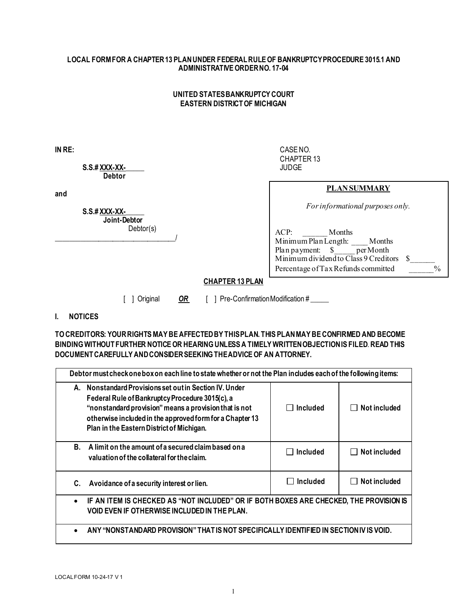### **LOCAL FORM FOR A CHAPTER 13 PLAN UNDER FEDERAL RULE OF BANKRUPTCY PROCEDURE 3015.1 AND ADMINISTRATIVE ORDER NO. 17-04**

## **UNITED STATES BANKRUPTCY COURT EASTERN DISTRICT OF MICHIGAN**

**S.S.# XXX-XX-\_\_\_\_\_** JUDGE **Debtor**

**and**

**S.S.# XXX-XX-\_\_\_\_\_ Joint-Debtor** Debtor(s)

\_\_\_\_\_\_\_\_\_\_\_\_\_\_\_\_\_\_\_\_\_\_\_\_\_\_\_\_\_\_\_\_\_\_/

**IN RE:** CASE NO. CHAPTER 13

| <b>PLAN SUMMARY</b> |  |
|---------------------|--|
|                     |  |

*For informational purposes only.*

ACP: Months Minimum Plan Length: Months Plan payment: \$\_\_\_\_\_ per Month Minimum dividend to Class 9 Creditors  $$$ Percentage of Tax Refunds committed  $\%$ 

# **CHAPTER 13 PLAN**

[ ] Original *OR* [] Pre-Confirmation Modification # **\_\_\_\_\_** 

**I. NOTICES**

**TO CREDITORS: YOUR RIGHTS MAY BE AFFECTED BY THIS PLAN. THIS PLAN MAY BE CONFIRMED AND BECOME BINDING WITHOUT FURTHER NOTICE OR HEARING UNLESS A TIMELY WRITTEN OBJECTION IS FILED**. **READ THIS DOCUMENT CAREFULLY AND CONSIDER SEEKING THE ADVICE OF AN ATTORNEY.**

|                                                                                                                                                                                                                                                                             | Debtor must check one box on each line to state whether or not the Plan includes each of the following items: |              |  |  |  |  |
|-----------------------------------------------------------------------------------------------------------------------------------------------------------------------------------------------------------------------------------------------------------------------------|---------------------------------------------------------------------------------------------------------------|--------------|--|--|--|--|
| A. Nonstandard Provisions set out in Section IV. Under<br>Federal Rule of Bankruptcy Procedure 3015(c), a<br>"nonstandard provision" means a provision that is not<br>otherwise included in the approved form for a Chapter 13<br>Plan in the Eastern District of Michigan. | Included                                                                                                      | Not included |  |  |  |  |
| A limit on the amount of a secured claim based on a<br>В.<br>valuation of the collateral for the claim.                                                                                                                                                                     | Included                                                                                                      | Not included |  |  |  |  |
| Avoidance of a security interest or lien.<br>C.                                                                                                                                                                                                                             | Included                                                                                                      | Not included |  |  |  |  |
| IF AN ITEM IS CHECKED AS "NOT INCLUDED" OR IF BOTH BOXES ARE CHECKED, THE PROVISION IS<br><b>VOID EVEN IF OTHERWISE INCLUDED IN THE PLAN.</b>                                                                                                                               |                                                                                                               |              |  |  |  |  |
| ANY "NONSTANDARD PROVISION" THAT IS NOT SPECIFICALLY IDENTIFIED IN SECTION IV IS VOID.                                                                                                                                                                                      |                                                                                                               |              |  |  |  |  |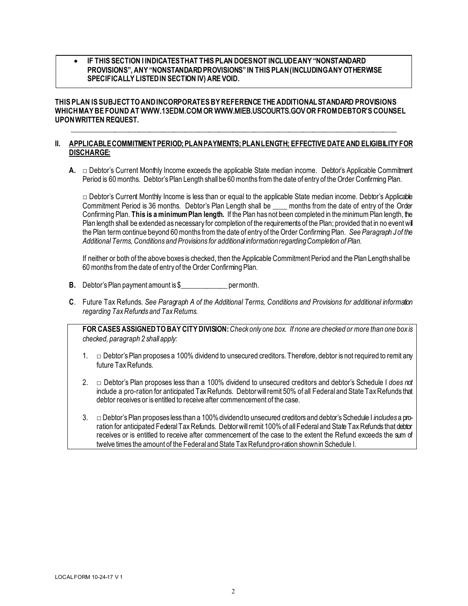#### • **IF THIS SECTION I INDICATES THAT THIS PLAN DOES NOT INCLUDE ANY "NONSTANDARD PROVISIONS", ANY "NONSTANDARD PROVISIONS" IN THIS PLAN (INCLUDING ANY OTHERWISE SPECIFICALLY LISTED IN SECTION IV) ARE VOID.**

#### **THIS PLAN IS SUBJECT TO AND INCORPORATES BY REFERENCE THE ADDITIONALSTANDARD PROVISIONS WHICHMAY BE FOUND AT** WWW.13EDM.COM O**R** WWW.MIEB.USCOURTS.GOV**OR FROM DEBTOR'S COUNSEL UPONWRITTEN REQUEST.**

#### **II. APPLICABLE COMMITMENT PERIOD; PLAN PAYMENTS; PLAN LENGTH; EFFECTIVE DATE AND ELIGIBILITY FOR DISCHARGE:**

 $\_$  ,  $\_$  ,  $\_$  ,  $\_$  ,  $\_$  ,  $\_$  ,  $\_$  ,  $\_$  ,  $\_$  ,  $\_$  ,  $\_$  ,  $\_$  ,  $\_$  ,  $\_$  ,  $\_$  ,  $\_$  ,  $\_$  ,  $\_$  ,  $\_$  ,  $\_$  ,  $\_$  ,  $\_$  ,  $\_$  ,  $\_$  ,  $\_$  ,  $\_$  ,  $\_$  ,  $\_$  ,  $\_$  ,  $\_$  ,  $\_$  ,  $\_$  ,  $\_$  ,  $\_$  ,  $\_$  ,  $\_$  ,  $\_$  ,

**A.** □ Debtor's Current Monthly Income exceeds the applicable State median income. Debtor's Applicable Commitment Period is 60 months. Debtor's Plan Length shall be 60 months from the date of entry of the Order Confirming Plan*.*

□ Debtor's Current Monthly Income is less than or equal to the applicable State median income. Debtor's Applicable Commitment Period is 36 months. Debtor's Plan Length shall be \_\_\_\_ months from the date of entry of the Order Confirming Plan. **This is a minimum Plan length.** If the Plan has not been completed in the minimum Plan length, the Plan length shall be extended as necessary for completion of the requirements of the Plan; provided that in no event will the Plan term continue beyond 60 months from the date of entry of the Order Confirming Plan. *See Paragraph J of the Additional Terms, Conditions and Provisions for additional information regarding Completion of Plan.*

If neither or both of the above boxes is checked, then the Applicable Commitment Period and the Plan Length shall be 60 months from the date of entry of the Order Confirming Plan.

- **B.** Debtor's Plan payment amount is \$**\_\_\_\_\_\_\_\_\_\_\_\_\_** per month.
- **C**. Future Tax Refunds. *See Paragraph A of the Additional Terms, Conditions and Provisions for additional information regarding Tax Refunds and Tax Returns.*

**FOR CASES ASSIGNED TO BAY CITY DIVISION:***Check only one box. If none are checked or more than one box is checked, paragraph 2 shall apply:*

- 1. □ Debtor's Plan proposes a 100% dividend to unsecured creditors. Therefore, debtor is not required to remit any future Tax Refunds*.*
- 2. □ Debtor's Plan proposes less than a 100% dividend to unsecured creditors and debtor's Schedule I *does not* include a pro-ration for anticipated Tax Refunds. Debtor will remit 50% of all Federal and State Tax Refunds that debtor receives or is entitled to receive after commencement of the case.
- 3. □ Debtor's Plan proposes less than a 100% dividend to unsecured creditors and debtor's Schedule I *includes* a proration for anticipated Federal Tax Refunds. Debtor will remit 100% of all Federal and State Tax Refunds that debtor receives or is entitled to receive after commencement of the case to the extent the Refund exceeds the sum of twelve times the amount of the Federal and State Tax Refund pro-ration shown in Schedule I.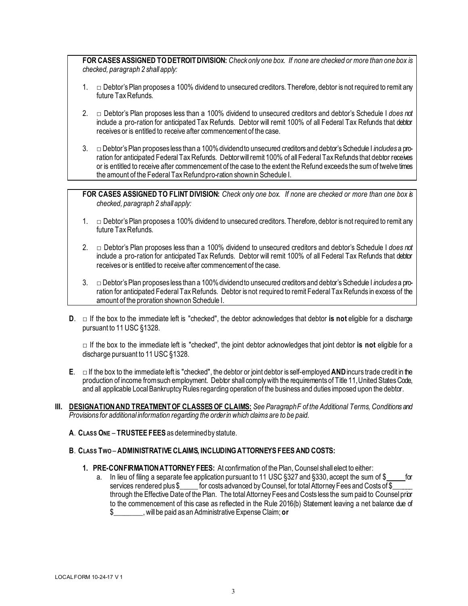**FOR CASES ASSIGNED TO DETROIT DIVISION:** *Check only one box. If none are checked or more than one box is checked, paragraph 2 shall apply:*

- 1. □ Debtor's Plan proposes a 100% dividend to unsecured creditors. Therefore, debtor is not required to remit any future Tax Refunds*.*
- 2. □ Debtor's Plan proposes less than a 100% dividend to unsecured creditors and debtor's Schedule I *does not* include a pro-ration for anticipated Tax Refunds. Debtor will remit 100% of all Federal Tax Refunds that debtor receives or is entitled to receive after commencement of the case.
- 3. □ Debtor's Plan proposes less than a 100% dividend to unsecured creditors and debtor's Schedule I *includes* a proration for anticipated Federal Tax Refunds. Debtor will remit 100% of all Federal Tax Refunds that debtor receives or is entitled to receive after commencement of the case to the extent the Refund exceeds the sum of twelve times the amount of the Federal Tax Refund pro-ration shown in Schedule I.
- **FOR CASES ASSIGNED TO FLINT DIVISION:** *Check only one box. If none are checked or more than one box is checked, paragraph 2 shall apply:*
- 1.  $\Box$  Debtor's Plan proposes a 100% dividend to unsecured creditors. Therefore, debtor is not required to remit any future Tax Refunds*.*
- 2. □ Debtor's Plan proposes less than a 100% dividend to unsecured creditors and debtor's Schedule I *does not* include a pro-ration for anticipated Tax Refunds. Debtor will remit 100% of all Federal Tax Refunds that debtor receives or is entitled to receive after commencement of the case.
- 3. □ Debtor's Plan proposes less than a 100% dividend to unsecured creditors and debtor's Schedule I *includes* a proration for anticipated Federal Tax Refunds. Debtor is not required to remit Federal Tax Refunds in excess of the amount of the proration shown on Schedule I.
- **D**. □ If the box to the immediate left is "checked", the debtor acknowledges that debtor **is not** eligible for a discharge pursuant to 11 USC §1328.

 $\Box$  If the box to the immediate left is "checked", the joint debtor acknowledges that joint debtor **is not** eligible for a discharge pursuant to 11 USC §1328.

- **E**. □ If the box to the immediate left is "checked", the debtor or joint debtor is self-employed **AND**incurs trade credit in the production of income from such employment. Debtor shall comply with the requirements of Title 11, United States Code, and all applicable Local Bankruptcy Rules regarding operation of the business and duties imposed upon the debtor.
- **III. DESIGNATION AND TREATMENT OF CLASSES OF CLAIMS:** *See Paragraph F of the Additional Terms, Conditions and Provisions for additional information regarding the order in which claims are to be paid.*
	- **A**. **CLASS ONE TRUSTEE FEES** as determined by statute.

#### **B**. **CLASS TWO** – **ADMINISTRATIVE CLAIMS, INCLUDINGATTORNEYS FEES AND COSTS:**

- **1. PRE-CONFIRMATION ATTORNEY FEES:** At confirmation of the Plan, Counsel shall elect to either:
	- a. In lieu of filing a separate fee application pursuant to 11 USC §327 and §330, accept the sum of \$ for services rendered plus \$ \_\_\_\_\_ for costs advanced by Counsel, for total Attorney Fees and Costs of \$ through the Effective Date of the Plan. The total Attorney Fees and Costs less the sum paid to Counsel prior to the commencement of this case as reflected in the Rule 2016(b) Statement leaving a net balance due of \$\_\_\_\_\_\_\_\_, will be paid as an Administrative Expense Claim; **or**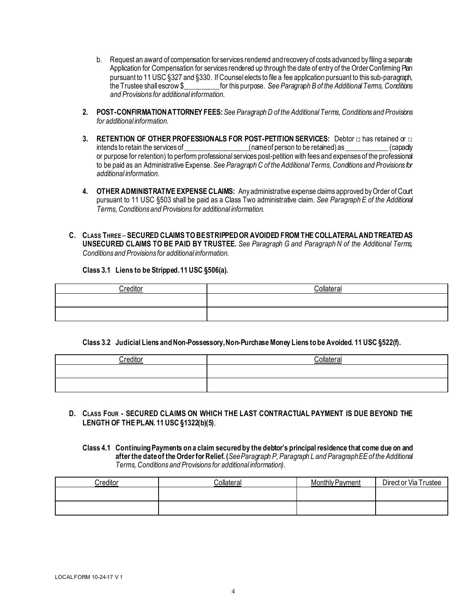- b. Request an award of compensation for services rendered and recovery of costs advanced by filing a separate Application for Compensation for services rendered up through the date of entry of the Order Confirming Plan pursuant to 11 USC §327 and §330. If Counsel elects to file a fee application pursuant to this sub-paragraph, the Trustee shall escrow \$ for this purpose. See Paragraph B of the Additional Terms, Conditions for this purpose. See Paragraph B of the Additional Terms, Conditions *and Provisions for additional information.*
- **2. POST-CONFIRMATION ATTORNEY FEES:** *See Paragraph D of the Additional Terms, Conditions and Provisions for additional information.*
- **3. RETENTION OF OTHER PROFESSIONALS FOR POST-PETITION SERVICES:** Debtor **□** has retained or **□**  iname of person to be retained) as  $($ capacity or purpose for retention) to perform professional services post-petition with fees and expenses of the professional to be paid as an Administrative Expense. *See Paragraph C of the Additional Terms, Conditions and Provisions for additional information.*
- **4. OTHER ADMINISTRATIVE EXPENSE CLAIMS:** Any administrative expense claims approved by Order of Court pursuant to 11 USC §503 shall be paid as a Class Two administrative claim. *See Paragraph E of the Additional Terms, Conditions and Provisions for additional information.*
- **C. CLASS THREE SECURED CLAIMS TO BE STRIPPED OR AVOIDED FROMTHE COLLATERAL AND TREATED AS UNSECURED CLAIMS TO BE PAID BY TRUSTEE.** *See Paragraph G and Paragraph N of the Additional Terms, Conditions and Provisions for additional information.*

#### **Class 3.1 Liens to be Stripped. 11 USC §506(a).**

| Creditor | 'ollatar |
|----------|----------|
|          |          |
|          |          |

#### **Class 3.2 Judicial Liens and Non-Possessory, Non-Purchase Money Liens to be Avoided. 11 USC §522(f).**

| Creditor | dlatı^ |
|----------|--------|
|          |        |
|          |        |

**D. CLASS FOUR - SECURED CLAIMS ON WHICH THE LAST CONTRACTUAL PAYMENT IS DUE BEYOND THE LENGTH OF THE PLAN. 11 USC §1322(b)(5)**.

#### **Class 4.1 Continuing Payments on a claim secured by the debtor's principal residence that come due on and after the date of the Order for Relief. (***SeeParagraph P, Paragraph L and Paragraph EE of the Additional Terms, Conditions and Provisions for additional information)*.

| reditor <sup>-</sup> | Collateral | <b>Monthly Payment</b> | Direct or Via Trustee |
|----------------------|------------|------------------------|-----------------------|
|                      |            |                        |                       |
|                      |            |                        |                       |
|                      |            |                        |                       |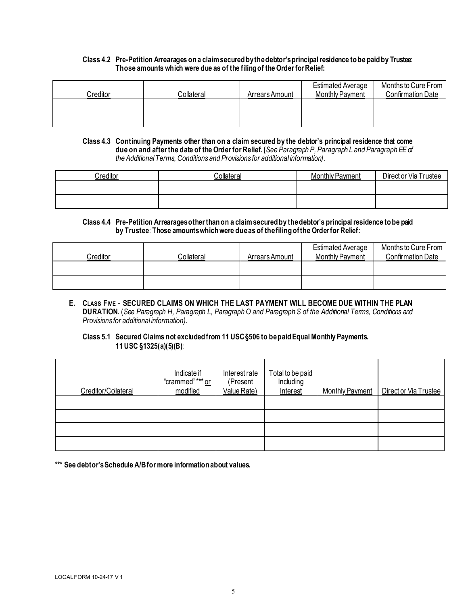#### **Class 4.2 Pre-Petition Arrearages on a claim secured by the debtor's principal residence to be paid by Trustee**: **Those amounts which were due as of the filing of the Order for Relief:**

| Creditor | Collateral | Arrears Amount | Estimated Average<br><b>Monthly Payment</b> | Months to Cure From<br><b>Confirmation Date</b> |
|----------|------------|----------------|---------------------------------------------|-------------------------------------------------|
|          |            |                |                                             |                                                 |
|          |            |                |                                             |                                                 |

#### **Class 4.3 Continuing Payments other than on a claim secured by the debtor's principal residence that come due on and after the date of the Order for Relief. (***See Paragraph P, Paragraph L and Paragraph EE of the Additional Terms, Conditions and Provisions for additional information)*.

| Creditor | Collateral | <b>Monthly Payment</b> | Direct or Via Trustee |
|----------|------------|------------------------|-----------------------|
|          |            |                        |                       |
|          |            |                        |                       |
|          |            |                        |                       |

### **Class 4.4 Pre-Petition Arrearagesother than on a claim secured by the debtor's principal residence to be paid by Trustee**: **Those amounts which were due as of the filing of the Order for Relief:**

| Creditor | Collateral | Arrears Amount | <b>Estimated Average</b><br><b>Monthly Payment</b> | Months to Cure From<br><b>Confirmation Date</b> |
|----------|------------|----------------|----------------------------------------------------|-------------------------------------------------|
|          |            |                |                                                    |                                                 |
|          |            |                |                                                    |                                                 |

**E. CLASS FIVE** - **SECURED CLAIMS ON WHICH THE LAST PAYMENT WILL BECOME DUE WITHIN THE PLAN DURATION.** (*See Paragraph H, Paragraph L, Paragraph O and Paragraph S of the Additional Terms, Conditions and Provisions for additional information).*

### **Class 5.1 Secured Claims not excluded from 11 USC §506 to be paid Equal Monthly Payments. 11 USC §1325(a)(5)(B)**:

| Creditor/Collateral | Indicate if<br>"crammed"*** or<br>modified | Interest rate<br>(Present<br>Value Rate) | Total to be paid<br>Including<br>Interest | Monthly Payment | Direct or Via Trustee |
|---------------------|--------------------------------------------|------------------------------------------|-------------------------------------------|-----------------|-----------------------|
|                     |                                            |                                          |                                           |                 |                       |
|                     |                                            |                                          |                                           |                 |                       |
|                     |                                            |                                          |                                           |                 |                       |
|                     |                                            |                                          |                                           |                 |                       |

**\*\*\* See debtor's Schedule A/Bfor more information about values.**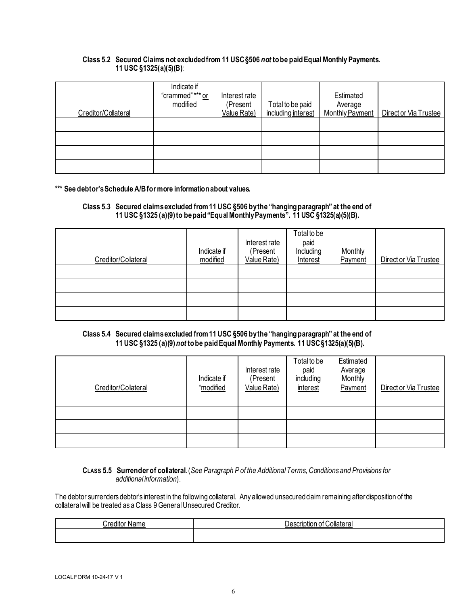#### **Class 5.2 Secured Claims not excluded from 11 USC §506** *not* **tobe paid Equal Monthly Payments. 11 USC §1325(a)(5)(B)**:

| Creditor/Collateral | Indicate if<br>"crammed" *** or<br>modified | Interest rate<br>(Present<br>Value Rate) | Total to be paid<br>including interest | Estimated<br>Average<br>Monthly Payment | Direct or Via Trustee |
|---------------------|---------------------------------------------|------------------------------------------|----------------------------------------|-----------------------------------------|-----------------------|
|                     |                                             |                                          |                                        |                                         |                       |
|                     |                                             |                                          |                                        |                                         |                       |
|                     |                                             |                                          |                                        |                                         |                       |
|                     |                                             |                                          |                                        |                                         |                       |

**\*\*\* See debtor's Schedule A/B for more information about values.**

### **Class 5.3 Secured claims excluded from 11 USC §506 by the "hanging paragraph" at the end of 11 USC §1325 (a)(9) to be paid "Equal Monthly Payments". 11 USC §1325(a)(5)(B).**

| Creditor/Collateral | Indicate if<br>modified | Interest rate<br>(Present<br>Value Rate) | Total to be<br>paid<br>Including<br>Interest | Monthly<br>Payment | Direct or Via Trustee |
|---------------------|-------------------------|------------------------------------------|----------------------------------------------|--------------------|-----------------------|
|                     |                         |                                          |                                              |                    |                       |
|                     |                         |                                          |                                              |                    |                       |
|                     |                         |                                          |                                              |                    |                       |
|                     |                         |                                          |                                              |                    |                       |

## **Class 5.4 Secured claims excluded from 11 USC §506 by the "hanging paragraph" at the end of 11 USC §1325 (a)(9)** *not* **tobe paid Equal Monthly Payments. 11 USC§1325(a)(5)(B).**

| Creditor/Collateral | Indicate if<br>"modified | Interest rate<br>(Present<br>Value Rate) | Total to be<br>paid<br>including<br>interest | Estimated<br>Average<br>Monthly<br>Payment | Direct or Via Trustee |
|---------------------|--------------------------|------------------------------------------|----------------------------------------------|--------------------------------------------|-----------------------|
|                     |                          |                                          |                                              |                                            |                       |
|                     |                          |                                          |                                              |                                            |                       |
|                     |                          |                                          |                                              |                                            |                       |
|                     |                          |                                          |                                              |                                            |                       |

#### **CLASS 5.5 Surrender of collateral**.(*See Paragraph P of the Additional Terms, Conditions and Provisions for additional information*).

The debtor surrenders debtor's interest in the following collateral. Any allowed unsecured claim remaining afterdisposition of the collateral will be treated as a Class 9 General Unsecured Creditor.

| <br><br>∩ll⊆ |
|--------------|
|              |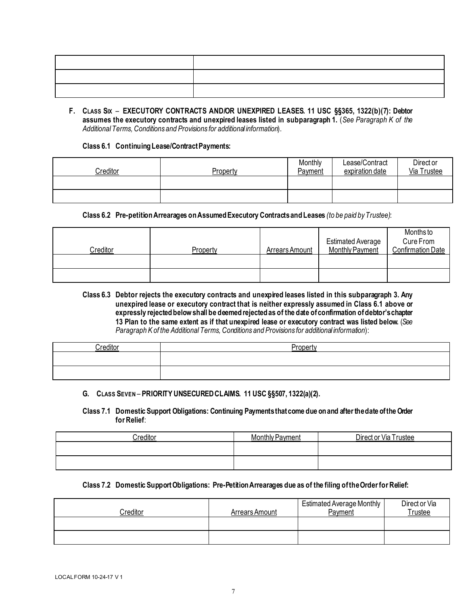**F. CLASS SIX** – **EXECUTORY CONTRACTS AND/OR UNEXPIRED LEASES. 11 USC §§365, 1322(b)(7): Debtor assumes the executory contracts and unexpired leases listed in subparagraph 1.** (*See Paragraph K of the Additional Terms, Conditions and Provisions for additional information*).

#### **Class 6.1 Continuing Lease/Contract Payments:**

| Creditor | <sup>∪</sup> ropertv | Monthly<br>Payment | Lease/Contract<br>expiration date | Direct or<br>Via Trustee |
|----------|----------------------|--------------------|-----------------------------------|--------------------------|
|          |                      |                    |                                   |                          |
|          |                      |                    |                                   |                          |

#### **Class 6.2 Pre-petition Arrearages on Assumed Executory Contracts and Leases** *(to be paid by Trustee)*:

| Creditor | Property | Arrears Amount | <b>Estimated Average</b><br><b>Monthly Payment</b> | Months to<br>Cure From<br><b>Confirmation Date</b> |
|----------|----------|----------------|----------------------------------------------------|----------------------------------------------------|
|          |          |                |                                                    |                                                    |
|          |          |                |                                                    |                                                    |

#### **Class 6.3 Debtor rejects the executory contracts and unexpired leases listed in this subparagraph 3. Any unexpired lease or executory contract that is neither expressly assumed in Class 6.1 above or expressly rejected below shall be deemed rejected as of the date ofconfirmation of debtor's chapter 13 Plan to the same extent as if that unexpired lease or executory contract was listed below.** (*See Paragraph K of the Additional Terms, Conditions and Provisions for additional information*):

| <sup>-</sup> reditor | <b>Pronerty</b> |
|----------------------|-----------------|
|                      |                 |
|                      |                 |

## **G. CLASS SEVEN** – **PRIORITY UNSECURED CLAIMS. 11 USC §§507, 1322(a)(2).**

#### **Class 7.1 Domestic Support Obligations: Continuing Payments that come due on and after the date of the Order for Relief**:

| Creditor | Monthly P<br>Pavment | Direct or Via Trustee |
|----------|----------------------|-----------------------|
|          |                      |                       |
|          |                      |                       |

#### **Class 7.2 Domestic Support Obligations: Pre-Petition Arrearages due as of the filing of the Order for Relief:**

| Creditor | Arrears Amount | <b>Estimated Average Monthly</b><br>Payment | Direct or Via<br>Trustee |
|----------|----------------|---------------------------------------------|--------------------------|
|          |                |                                             |                          |
|          |                |                                             |                          |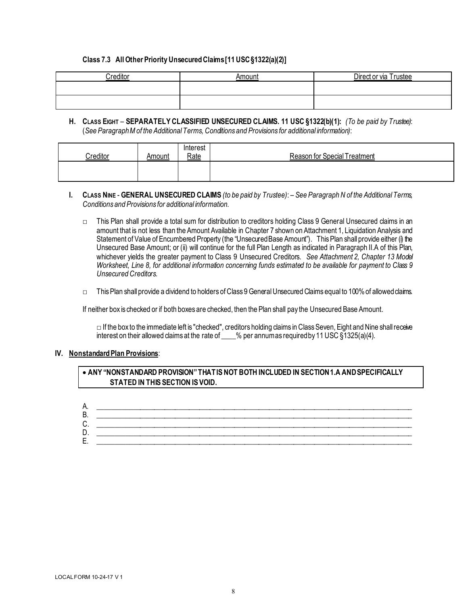#### **Class 7.3 All Other Priority Unsecured Claims [11 USC §1322(a)(2)]**

| Creditor | Amoun' | Direct or via Trustee |
|----------|--------|-----------------------|
|          |        |                       |
|          |        |                       |

**H. CLASS EIGHT** – **SEPARATELY CLASSIFIED UNSECURED CLAIMS. 11 USC §1322(b)(1):** *(To be paid by Trustee)*: (*See Paragraph M of the Additional Terms, Conditions and Provisions for additional information)*:

| creditor | ∆m∩unt | Interest<br>Rate | <b>Reason for Special Treatment</b> |
|----------|--------|------------------|-------------------------------------|
|          |        |                  |                                     |

- **I. CLASS NINE GENERAL UNSECURED CLAIMS** *(to be paid by Trustee)*: *See Paragraph N of the Additional Terms, Conditions and Provisions for additional information.*
	- **□** This Plan shall provide a total sum for distribution to creditors holding Class 9 General Unsecured claims in an amount that is not less than the Amount Available in Chapter 7 shown on Attachment 1, Liquidation Analysis and Statement of Value of Encumbered Property (the "Unsecured Base Amount"). This Plan shall provide either (i) the Unsecured Base Amount; or (ii) will continue for the full Plan Length as indicated in Paragraph II.A of this Plan, whichever yields the greater payment to Class 9 Unsecured Creditors. *See Attachment 2, Chapter 13 Model Worksheet, Line 8, for additional information concerning funds estimated to be available for payment to Class 9 Unsecured Creditors.*
	- **□** This Plan shall provide a dividend to holders of Class 9 General Unsecured Claims equal to 100% of allowed claims.

If neither box is checked or if both boxes are checked, then the Plan shall pay the Unsecured Base Amount.

 $\Box$  If the box to the immediate left is "checked", creditors holding claims in Class Seven, Eight and Nine shall receive interest on their allowed claims at the rate of \_\_\_\_% per annum as required by 11 USC §1325(a)(4).

#### **IV. Nonstandard Plan Provisions**:

• **ANY "NONSTANDARD PROVISION" THAT IS NOT BOTH INCLUDED IN SECTION 1.A AND SPECIFICALLY STATED IN THIS SECTION IS VOID.**

A. *\_\_\_\_\_\_\_\_\_\_\_\_\_\_\_\_\_\_\_\_\_\_\_\_\_\_\_\_\_\_\_\_\_\_\_\_\_\_\_\_\_\_\_\_\_\_\_\_\_\_\_\_\_\_\_\_\_\_\_\_\_\_\_\_\_\_\_\_\_\_\_\_\_\_\_\_\_\_\_\_\_\_\_\_\_\_\_\_\_\_* B. *\_\_\_\_\_\_\_\_\_\_\_\_\_\_\_\_\_\_\_\_\_\_\_\_\_\_\_\_\_\_\_\_\_\_\_\_\_\_\_\_\_\_\_\_\_\_\_\_\_\_\_\_\_\_\_\_\_\_\_\_\_\_\_\_\_\_\_\_\_\_\_\_\_\_\_\_\_\_\_\_\_\_\_\_\_\_\_\_\_\_* C. *\_\_\_\_\_\_\_\_\_\_\_\_\_\_\_\_\_\_\_\_\_\_\_\_\_\_\_\_\_\_\_\_\_\_\_\_\_\_\_\_\_\_\_\_\_\_\_\_\_\_\_\_\_\_\_\_\_\_\_\_\_\_\_\_\_\_\_\_\_\_\_\_\_\_\_\_\_\_\_\_\_\_\_\_\_\_\_\_\_\_* D. *\_\_\_\_\_\_\_\_\_\_\_\_\_\_\_\_\_\_\_\_\_\_\_\_\_\_\_\_\_\_\_\_\_\_\_\_\_\_\_\_\_\_\_\_\_\_\_\_\_\_\_\_\_\_\_\_\_\_\_\_\_\_\_\_\_\_\_\_\_\_\_\_\_\_\_\_\_\_\_\_\_\_\_\_\_\_\_\_\_\_* E. *\_\_\_\_\_\_\_\_\_\_\_\_\_\_\_\_\_\_\_\_\_\_\_\_\_\_\_\_\_\_\_\_\_\_\_\_\_\_\_\_\_\_\_\_\_\_\_\_\_\_\_\_\_\_\_\_\_\_\_\_\_\_\_\_\_\_\_\_\_\_\_\_\_\_\_\_\_\_\_\_\_\_\_\_\_\_\_\_\_\_*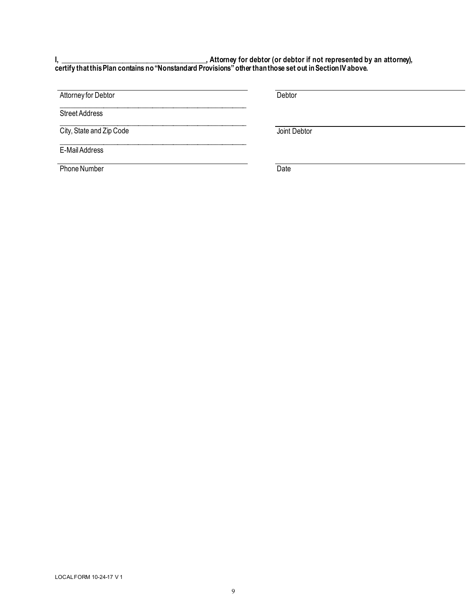**I, \_\_\_\_\_\_\_\_\_\_\_\_\_\_\_\_\_\_\_\_\_\_\_\_\_\_\_\_\_\_\_\_\_\_\_\_\_\_\_\_\_, Attorney for debtor (or debtor if not represented by an attorney), certify that this Plan contains no "Nonstandard Provisions" other than those set out in Section IV above.**

| Attorney for Debtor      | Debtor       |
|--------------------------|--------------|
| <b>Street Address</b>    |              |
| City, State and Zip Code | Joint Debtor |
| E-Mail Address           |              |
| <b>Phone Number</b>      | Date         |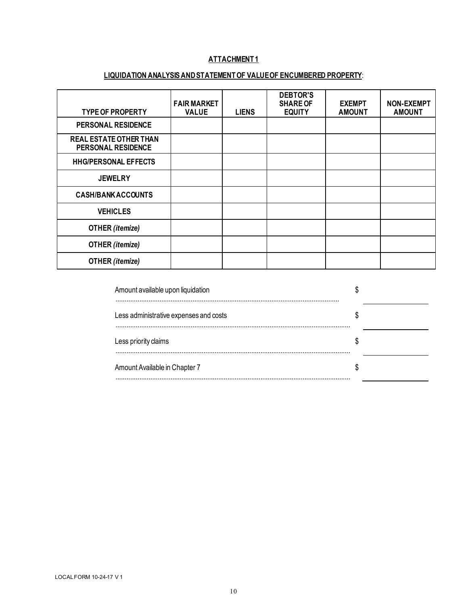## **ATTACHMENT 1**

## **LIQUIDATION ANALYSIS AND STATEMENT OF VALUE OF ENCUMBERED PROPERTY**:

| <b>TYPE OF PROPERTY</b>                             | <b>FAIR MARKET</b><br><b>VALUE</b> | <b>LIENS</b> | <b>DEBTOR'S</b><br><b>SHARE OF</b><br><b>EQUITY</b> | <b>EXEMPT</b><br><b>AMOUNT</b> | <b>NON-EXEMPT</b><br><b>AMOUNT</b> |
|-----------------------------------------------------|------------------------------------|--------------|-----------------------------------------------------|--------------------------------|------------------------------------|
| PERSONAL RESIDENCE                                  |                                    |              |                                                     |                                |                                    |
| <b>REAL ESTATE OTHER THAN</b><br>PERSONAL RESIDENCE |                                    |              |                                                     |                                |                                    |
| <b>HHG/PERSONAL EFFECTS</b>                         |                                    |              |                                                     |                                |                                    |
| <b>JEWELRY</b>                                      |                                    |              |                                                     |                                |                                    |
| <b>CASH/BANKACCOUNTS</b>                            |                                    |              |                                                     |                                |                                    |
| <b>VEHICLES</b>                                     |                                    |              |                                                     |                                |                                    |
| OTHER (itemize)                                     |                                    |              |                                                     |                                |                                    |
| OTHER (itemize)                                     |                                    |              |                                                     |                                |                                    |
| OTHER (itemize)                                     |                                    |              |                                                     |                                |                                    |

| Amount available upon liquidation           |  |
|---------------------------------------------|--|
| Less administrative expenses and costs<br>. |  |
| Less priority claims<br>                    |  |
| Amount Available in Chapter 7<br>.          |  |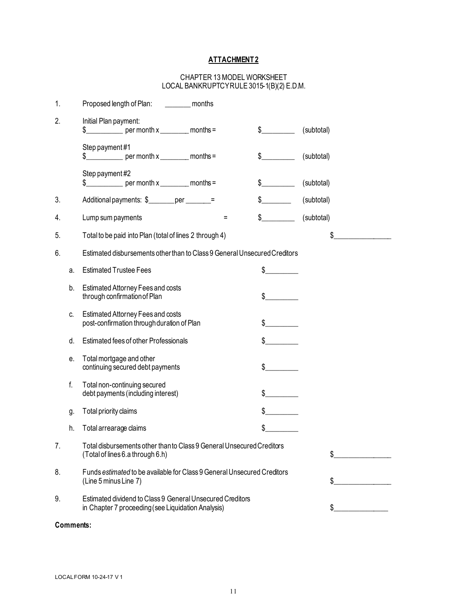# **ATTACHMENT 2**

## CHAPTER 13 MODEL WORKSHEET LOCAL BANKRUPTCY RULE 3015-1(B)(2) E.D.M.

| 1. |    | Proposed length of Plan:<br>__________ months                                                                   |               |            |
|----|----|-----------------------------------------------------------------------------------------------------------------|---------------|------------|
| 2. |    | Initial Plan payment:<br>\$______________ per month x __________ months =                                       | $\frac{1}{2}$ | (subtotal) |
|    |    | Step payment #1<br>$\frac{1}{2}$ per month x ________ months =                                                  | \$            | (subtotal) |
|    |    | Step payment #2<br>$\frac{1}{2}$ per month x ________ months =                                                  | $\frac{1}{2}$ | (subtotal) |
| 3. |    | Additional payments: \$______per _______=                                                                       | $\frac{1}{2}$ | (subtotal) |
| 4. |    | Lump sum payments<br>Ξ                                                                                          | $\frac{1}{2}$ | (subtotal) |
| 5. |    | Total to be paid into Plan (total of lines 2 through 4)                                                         |               | \$         |
| 6. |    | Estimated disbursements other than to Class 9 General Unsecured Creditors                                       |               |            |
|    | a. | <b>Estimated Trustee Fees</b>                                                                                   | \$_           |            |
|    | b. | <b>Estimated Attorney Fees and costs</b><br>through confirmation of Plan                                        | $\sim$        |            |
|    | C. | <b>Estimated Attorney Fees and costs</b><br>post-confirmation through duration of Plan                          | $\frac{1}{2}$ |            |
|    | d. | Estimated fees of other Professionals                                                                           | \$            |            |
|    | е. | Total mortgage and other<br>continuing secured debt payments                                                    | \$            |            |
|    | f. | Total non-continuing secured<br>debt payments (including interest)                                              | \$            |            |
|    | g. | Total priority claims                                                                                           | \$            |            |
|    | h. | Total arrearage claims                                                                                          | \$            |            |
| 7. |    | Total disbursements other thanto Class 9 General Unsecured Creditors<br>(Total of lines 6.a through 6.h)        |               | \$         |
| 8. |    | Funds estimated to be available for Class 9 General Unsecured Creditors<br>(Line 5 minus Line 7)                |               | \$         |
| 9. |    | Estimated dividend to Class 9 General Unsecured Creditors<br>in Chapter 7 proceeding (see Liquidation Analysis) |               |            |
|    |    |                                                                                                                 |               |            |

## **Comments:**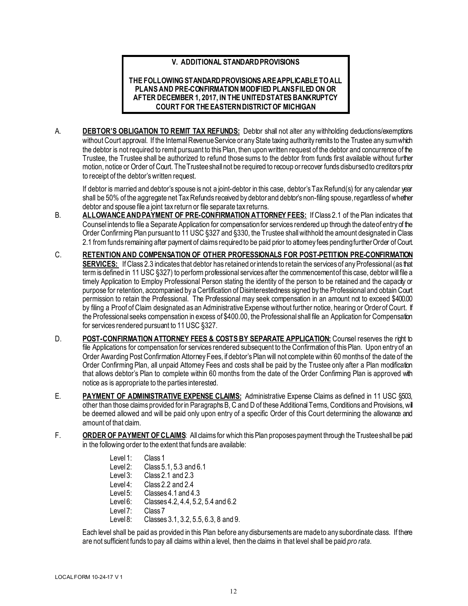### **V. ADDITIONAL STANDARDPROVISIONS**

#### **THE FOLLOWING STANDARD PROVISIONS ARE APPLICABLE TO ALL PLANS AND PRE-CONFIRMATION MODIFIED PLANSFILED ON OR AFTER DECEMBER 1, 2017, IN THE UNITED STATES BANKRUPTCY COURT FOR THE EASTERN DISTRICT OF MICHIGAN**

A. **DEBTOR'S OBLIGATION TO REMIT TAX REFUNDS:** Debtor shall not alter any withholding deductions/exemptions without Court approval. If the Internal Revenue Service or any State taxing authority remits to the Trustee any sum which the debtor is not required to remit pursuant to this Plan, then upon written request of the debtor and concurrence of the Trustee, the Trustee shall be authorized to refund those sums to the debtor from funds first available without further motion, notice or Order of Court. The Trustee shall not be required to recoup or recover funds disbursed to creditors prior to receipt of the debtor's written request.

If debtor is married and debtor's spouse is not a joint-debtor in this case, debtor's Tax Refund(s) for any calendar year shall be 50% of the aggregate net Tax Refunds received by debtor and debtor's non-filing spouse, regardless of whether debtor and spouse file a joint tax return or file separate tax returns.

- B. **ALLOWANCE AND PAYMENT OF PRE-CONFIRMATION ATTORNEY FEES:** If Class 2.1 of the Plan indicates that Counsel intends to file a Separate Application for compensation for services rendered up through the date of entry of the Order Confirming Plan pursuant to 11 USC §327 and §330, the Trustee shall withhold the amount designated in Class 2.1 from funds remaining after payment of claims required to be paid prior to attorney fees pending further Order of Court.
- C. **RETENTION AND COMPENSATION OF OTHER PROFESSIONALS FOR POST-PETITION PRE-CONFIRMATION SERVICES:** If Class 2.3 indicates that debtor has retained or intends to retain the services of any Professional (as that term is defined in 11 USC §327) to perform professional services after the commencement of this case, debtor will file a timely Application to Employ Professional Person stating the identity of the person to be retained and the capacity or purpose for retention, accompanied by a Certification of Disinterestedness signed by the Professional and obtain Court permission to retain the Professional. The Professional may seek compensation in an amount not to exceed \$400.00 by filing a Proof of Claim designated as an Administrative Expense without further notice, hearing or Order of Court. If the Professional seeks compensation in excess of \$400.00, the Professional shall file an Application for Compensation for services rendered pursuant to 11 USC §327.
- D. **POST-CONFIRMATION ATTORNEY FEES & COSTS BY SEPARATE APPLICATION:** Counsel reserves the right to file Applications for compensation for services rendered subsequent to the Confirmation of this Plan. Upon entry of an Order Awarding Post Confirmation Attorney Fees, if debtor's Plan will not complete within 60 months of the date of the Order Confirming Plan, all unpaid Attorney Fees and costs shall be paid by the Trustee only after a Plan modification that allows debtor's Plan to complete within 60 months from the date of the Order Confirming Plan is approved with notice as is appropriate to the parties interested.
- E. **PAYMENT OF ADMINISTRATIVE EXPENSE CLAIMS:** Administrative Expense Claims as defined in 11 USC §503, other than those claims provided for in Paragraphs B, C and D of these Additional Terms, Conditions and Provisions, will be deemed allowed and will be paid only upon entry of a specific Order of this Court determining the allowance and amount of that claim.
- F. **ORDER OF PAYMENT OF CLAIMS**: All claims for which this Plan proposes payment through the Trustee shall be paid in the following order to the extent that funds are available:

Level 1: Class 1<br>Level 2: Class 5. Level 2: Class 5.1, 5.3 and 6.1<br>Level 3: Class 2.1 and 2.3 Class  $2.1$  and  $2.3$ Level 4: Class 2.2 and 2.4<br>Level 5: Classes 4.1 and 4. Level 5: Classes 4.1 and 4.3<br>Level 6: Classes 4.2, 4.4, 5.2 Classes 4.2, 4.4, 5.2, 5.4 and 6.2 Level 7: Class 7 Level 8: Classes 3.1, 3.2, 5.5, 6.3, 8 and 9.

Each level shall be paid as provided in this Plan before any disbursements are made to any subordinate class. If there are not sufficient funds to pay all claims within a level, then the claims in that level shall be paid *pro rata*.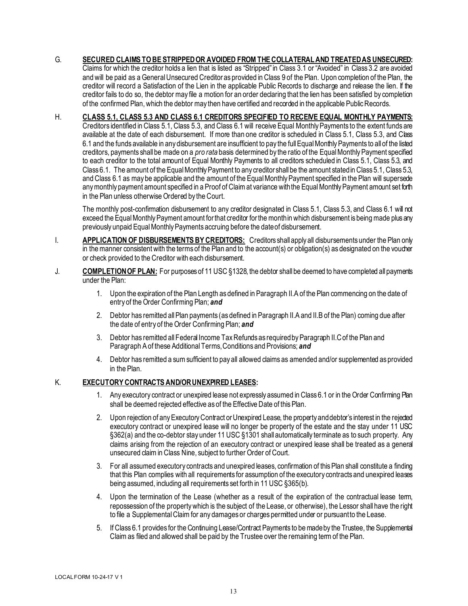## G. **SECURED CLAIMS TO BE STRIPPED OR AVOIDED FROM THE COLLATERAL AND TREATED AS UNSECURED:**

Claims for which the creditor holds a lien that is listed as "Stripped" in Class 3.1 or "Avoided" in Class 3.2 are avoided and will be paid as a General Unsecured Creditor as provided in Class 9 of the Plan. Upon completion of the Plan, the creditor will record a Satisfaction of the Lien in the applicable Public Records to discharge and release the lien. If the creditor fails to do so, the debtor may file a motion for an order declaring that the lien has been satisfied by completion of the confirmed Plan, which the debtor may then have certified and recorded in the applicable Public Records.

H. **CLASS 5.1, CLASS 5.3 AND CLASS 6.1 CREDITORS SPECIFIED TO RECEIVE EQUAL MONTHLY PAYMENTS:**  Creditors identified in Class 5.1, Class 5.3, and Class 6.1 will receive Equal Monthly Payments to the extent funds are available at the date of each disbursement. If more than one creditor is scheduled in Class 5.1, Class 5.3, and Class 6.1 and the funds available in any disbursement are insufficient to pay the full Equal Monthly Payments to all of the listed creditors, payments shall be made on a *pro rata* basis determined by the ratio of the Equal Monthly Payment specified to each creditor to the total amount of Equal Monthly Payments to all creditors scheduled in Class 5.1, Class 5.3, and Class 6.1. The amount of the Equal Monthly Payment to any creditor shall be the amount stated in Class 5.1, Class 5.3, and Class 6.1 as may be applicable and the amount of the Equal Monthly Payment specified in the Plan will supersede any monthly payment amount specified in a Proof of Claim at variance with the Equal Monthly Payment amount set forth in the Plan unless otherwise Ordered by the Court.

The monthly post-confirmation disbursement to any creditor designated in Class 5.1, Class 5.3, and Class 6.1 will not exceed the Equal Monthly Payment amount for that creditor for the month in which disbursement is being made plus any previously unpaid Equal Monthly Payments accruing before the date of disbursement.

- I. **APPLICATION OF DISBURSEMENTS BY CREDITORS:** Creditors shall apply all disbursements under the Plan only in the manner consistent with the terms of the Plan and to the account(s) or obligation(s) as designated on the voucher or check provided to the Creditor with each disbursement.
- J. **COMPLETION OF PLAN:** For purposes of 11 USC §1328, the debtor shall be deemed to have completed all payments under the Plan:
	- 1. Upon the expiration of the Plan Length as defined in Paragraph II.A of the Plan commencing on the date of entry of the Order Confirming Plan; *and*
	- 2. Debtor has remitted all Plan payments (as defined in Paragraph II.A and II.B of the Plan) coming due after the date of entry of the Order Confirming Plan; *and*
	- 3. Debtor has remitted all Federal Income Tax Refunds as required by Paragraph II.C of the Plan and Paragraph A of these Additional Terms, Conditions and Provisions; *and*
	- 4. Debtor has remitted a sum sufficient to pay all allowed claims as amended and/or supplemented as provided in the Plan.

## K. **EXECUTORY CONTRACTS AND/OR UNEXPIRED LEASES:**

- 1. Any executory contract or unexpired lease not expressly assumed in Class 6.1 or in the Order Confirming Plan shall be deemed rejected effective as of the Effective Date of this Plan.
- 2. Upon rejection of any Executory Contract or Unexpired Lease, the property and debtor's interest in the rejected executory contract or unexpired lease will no longer be property of the estate and the stay under 11 USC §362(a) and the co-debtor stay under 11 USC §1301 shall automatically terminate as to such property. Any claims arising from the rejection of an executory contract or unexpired lease shall be treated as a general unsecured claim in Class Nine, subject to further Order of Court.
- 3. For all assumed executory contracts and unexpired leases, confirmation of this Plan shall constitute a finding that this Plan complies with all requirements for assumption of the executory contracts and unexpired leases being assumed, including all requirements set forth in 11 USC §365(b).
- 4. Upon the termination of the Lease (whether as a result of the expiration of the contractual lease term, repossession of the property which is the subject of the Lease, or otherwise), the Lessor shall have the right to file a Supplemental Claim for any damages or charges permitted under or pursuant to the Lease.
- 5. If Class 6.1 provides for the Continuing Lease/Contract Payments to be made by the Trustee, the Supplemental Claim as filed and allowed shall be paid by the Trustee over the remaining term of the Plan.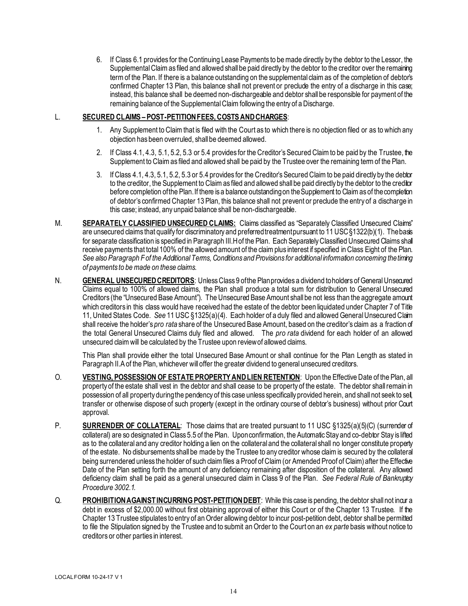6. If Class 6.1 provides for the Continuing Lease Payments to be made directly by the debtor to the Lessor, the Supplemental Claim as filed and allowed shall be paid directly by the debtor to the creditor over the remaining term of the Plan. If there is a balance outstanding on the supplemental claim as of the completion of debtor's confirmed Chapter 13 Plan, this balance shall not prevent or preclude the entry of a discharge in this case; instead, this balance shall be deemed non-dischargeable and debtor shall be responsible for payment of the remaining balance of the Supplemental Claim following the entry of a Discharge.

#### L. **SECURED CLAIMS – POST-PETITION FEES, COSTS AND CHARGES**:

- 1. Any Supplement to Claim that is filed with the Court as to which there is no objection filed or as to which any objection has been overruled, shall be deemed allowed.
- 2. If Class 4.1, 4.3, 5.1, 5.2, 5.3 or 5.4 provides for the Creditor's Secured Claim to be paid by the Trustee, the Supplement to Claim as filed and allowed shall be paid by the Trustee over the remaining term of the Plan.
- 3. If Class 4.1, 4.3, 5.1, 5.2, 5.3 or 5.4 provides for the Creditor's Secured Claim to be paid directly by the debtor to the creditor, the Supplement to Claim as filed and allowed shall be paid directly by the debtor to the creditor before completion of the Plan. If there is a balance outstanding on the Supplement to Claim as of the completion of debtor's confirmed Chapter 13 Plan, this balance shall not prevent or preclude the entry of a discharge in this case; instead, any unpaid balance shall be non-dischargeable.
- M. **SEPARATELY CLASSIFIED UNSECURED CLAIMS:** Claims classified as "Separately Classified Unsecured Claims" are unsecured claims that qualify for discriminatory and preferred treatment pursuant to 11 USC §1322(b)(1). The basis for separate classification is specified in Paragraph III.H of the Plan. Each Separately Classified Unsecured Claims shall receive payments that total 100% of the allowed amount of the claim plus interest if specified in Class Eight of the Plan. *See also Paragraph F of the Additional Terms, Conditions and Provisions for additional information concerning the timing of payments to be made on these claims.*
- N. **GENERAL UNSECURED CREDITORS**: Unless Class 9 of the Plan provides a dividend toholders of General Unsecured Claims equal to 100% of allowed claims, the Plan shall produce a total sum for distribution to General Unsecured Creditors (the "Unsecured Base Amount"). The Unsecured Base Amount shall be not less than the aggregate amount which creditors in this class would have received had the estate of the debtor been liquidated under Chapter 7 of Title 11, United States Code. *See* 11 USC §1325(a)(4). Each holder of a duly filed and allowed General Unsecured Claim shall receive the holder's *pro rata* share of the Unsecured Base Amount, based on the creditor's claim as a fraction of the total General Unsecured Claims duly filed and allowed. The *pro rata* dividend for each holder of an allowed unsecured claim will be calculated by the Trustee upon review of allowed claims.

This Plan shall provide either the total Unsecured Base Amount or shall continue for the Plan Length as stated in Paragraph II.A of the Plan, whichever will offer the greater dividend to general unsecured creditors.

- O. **VESTING, POSSESSION OF ESTATE PROPERTY AND LIEN RETENTION**: Upon the Effective Date of the Plan, all property of the estate shall vest in the debtor and shall cease to be property of the estate. The debtor shall remain in possession of all property during the pendency of this case unless specifically provided herein, and shall not seek to sell, transfer or otherwise dispose of such property (except in the ordinary course of debtor's business) without prior Court approval.
- P. **SURRENDER OF COLLATERAL:** Those claims that are treated pursuant to 11 USC §1325(a)(5)(C) (surrender of collateral) are so designated in Class 5.5 of the Plan. Upon confirmation, the Automatic Stay and co-debtor Stay is lifted as to the collateral and any creditor holding a lien on the collateral and the collateral shall no longer constitute property of the estate. No disbursements shall be made by the Trustee to any creditor whose claim is secured by the collateral being surrendered unless the holder of such claim files a Proof of Claim (or Amended Proof of Claim) after the Effective Date of the Plan setting forth the amount of any deficiency remaining after disposition of the collateral. Any allowed deficiency claim shall be paid as a general unsecured claim in Class 9 of the Plan. *See Federal Rule of Bankruptcy Procedure 3002.1.*
- Q. **PROHIBITION AGAINST INCURRING POST-PETITION DEBT**: While this case is pending, the debtor shall not incur a debt in excess of \$2,000.00 without first obtaining approval of either this Court or of the Chapter 13 Trustee. If the Chapter 13 Trustee stipulates to entry of an Order allowing debtor to incur post-petition debt, debtor shall be permitted to file the Stipulation signed by the Trustee and to submit an Order to the Court on an *ex parte* basis without notice to creditors or other parties in interest.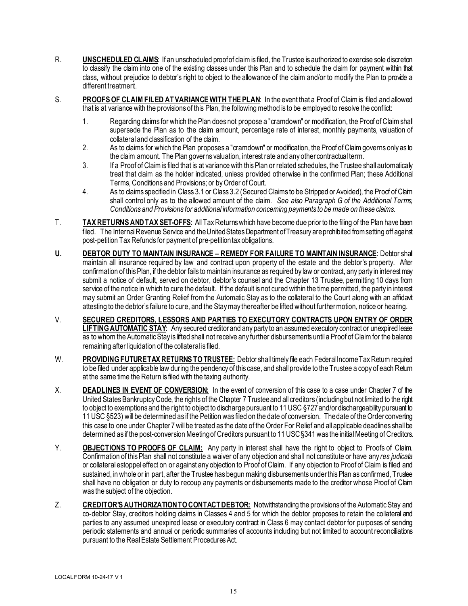- R. **UNSCHEDULED CLAIMS**: If an unscheduled proof of claim is filed, the Trustee is authorized to exercise sole discretion to classify the claim into one of the existing classes under this Plan and to schedule the claim for payment within that class, without prejudice to debtor's right to object to the allowance of the claim and/or to modify the Plan to provide a different treatment.
- S. **PROOFS OF CLAIM FILED AT VARIANCE WITH THE PLAN:** In the event that a Proof of Claim is filed and allowed that is at variance with the provisions of this Plan, the following method is to be employed to resolve the conflict:
	- 1. Regarding claims for which the Plan does not propose a "cramdown" or modification, the Proof of Claim shall supersede the Plan as to the claim amount, percentage rate of interest, monthly payments, valuation of collateral and classification of the claim.
	- 2. As to claims for which the Plan proposes a "cramdown" or modification, the Proof of Claim governs only as to the claim amount. The Plan governs valuation, interest rate and any other contractual term.
	- 3. If a Proof of Claim is filed that is at variance with this Plan or related schedules, the Trustee shall automatically treat that claim as the holder indicated, unless provided otherwise in the confirmed Plan; these Additional Terms, Conditions and Provisions; or by Order of Court.
	- 4. As to claims specified in Class 3.1 or Class 3.2 (Secured Claims to be Stripped or Avoided), the Proof of Claim shall control only as to the allowed amount of the claim. *See also Paragraph G of the Additional Terms, Conditions and Provisions for additional information concerning payments to be made on these claims.*
- T. **TAX RETURNS AND TAX SET-OFFS**: All Tax Returns which have become due prior to the filing of the Plan have been filed. The Internal Revenue Service and the United States Department of Treasury are prohibited from setting off against post-petition Tax Refunds for payment of pre-petition tax obligations.
- **U. DEBTOR DUTY TO MAINTAIN INSURANCE – REMEDY FOR FAILURE TO MAINTAIN INSURANCE**: Debtor shall maintain all insurance required by law and contract upon property of the estate and the debtor's property. After confirmation of this Plan, if the debtor fails to maintain insurance as required by law or contract, any party in interest may submit a notice of default, served on debtor, debtor's counsel and the Chapter 13 Trustee, permitting 10 days from service of the notice in which to cure the default. If the default is not cured within the time permitted, the party in interest may submit an Order Granting Relief from the Automatic Stay as to the collateral to the Court along with an affidavit attesting to the debtor's failure to cure, and the Stay may thereafter be lifted without further motion, notice or hearing.
- V. **SECURED CREDITORS, LESSORS AND PARTIES TO EXECUTORY CONTRACTS UPON ENTRY OF ORDER LIFTING AUTOMATIC STAY**: Any secured creditor and any party to an assumed executory contract or unexpired lease as to whom the Automatic Stay is lifted shall not receive any further disbursements until a Proof of Claim for the balance remaining after liquidation of the collateral is filed.
- W. **PROVIDING FUTURE TAX RETURNS TO TRUSTEE:** Debtor shall timely file each Federal Income Tax Return required to be filed under applicable law during the pendency of this case, and shall provide to the Trustee a copy of each Return at the same time the Return is filed with the taxing authority.
- X. **DEADLINES IN EVENT OF CONVERSION:** In the event of conversion of this case to a case under Chapter 7 of the United States Bankruptcy Code, the rights of the Chapter 7 Trustee and all creditors (including but not limited to the right to object to exemptions and the right to object to discharge pursuant to 11 USC §727 and/or dischargeability pursuant to 11 USC §523) will be determined as if the Petition was filed on the date of conversion. The date of the Order converting this case to one under Chapter 7 will be treated as the date of the Order For Relief and all applicable deadlines shall be determined as if the post-conversion Meeting of Creditors pursuant to 11 USC §341 was the initial Meeting of Creditors.
- Y. **OBJECTIONS TO PROOFS OF CLAIM:** Any party in interest shall have the right to object to Proofs of Claim. Confirmation of this Plan shall not constitute a waiver of any objection and shall not constitute or have any *res judicata*  or collateral estoppel effect on or against any objection to Proof of Claim. If any objection to Proof of Claim is filed and sustained, in whole or in part, after the Trustee has begun making disbursements under this Plan as confirmed, Trustee shall have no obligation or duty to recoup any payments or disbursements made to the creditor whose Proof of Claim was the subject of the objection.
- Z. **CREDITOR'S AUTHORIZATION TO CONTACT DEBTOR:** Notwithstanding the provisions of the Automatic Stay and co-debtor Stay, creditors holding claims in Classes 4 and 5 for which the debtor proposes to retain the collateral and parties to any assumed unexpired lease or executory contract in Class 6 may contact debtor for purposes of sending periodic statements and annual or periodic summaries of accounts including but not limited to account reconciliations pursuant to the Real Estate Settlement Procedures Act.